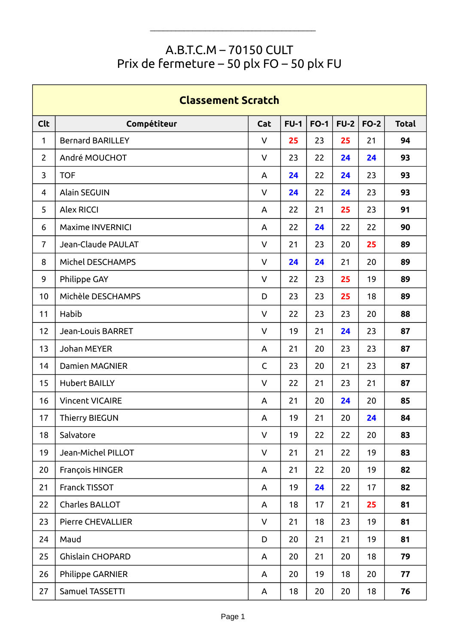## A.B.T.C.M – 70150 CULT Prix de fermeture – 50 plx FO – 50 plx FU

| <b>Classement Scratch</b> |                         |              |        |        |        |        |              |  |  |  |
|---------------------------|-------------------------|--------------|--------|--------|--------|--------|--------------|--|--|--|
| <b>Clt</b>                | Compétiteur             | Cat          | $FU-1$ | $FO-1$ | $FU-2$ | $FO-2$ | <b>Total</b> |  |  |  |
| $\mathbf{1}$              | <b>Bernard BARILLEY</b> | $\vee$       | 25     | 23     | 25     | 21     | 94           |  |  |  |
| $\overline{2}$            | André MOUCHOT           | $\vee$       | 23     | 22     | 24     | 24     | 93           |  |  |  |
| 3                         | <b>TOF</b>              | A            | 24     | 22     | 24     | 23     | 93           |  |  |  |
| 4                         | <b>Alain SEGUIN</b>     | V            | 24     | 22     | 24     | 23     | 93           |  |  |  |
| 5                         | <b>Alex RICCI</b>       | A            | 22     | 21     | 25     | 23     | 91           |  |  |  |
| 6                         | <b>Maxime INVERNICI</b> | A            | 22     | 24     | 22     | 22     | 90           |  |  |  |
| $\overline{7}$            | Jean-Claude PAULAT      | V            | 21     | 23     | 20     | 25     | 89           |  |  |  |
| 8                         | Michel DESCHAMPS        | $\vee$       | 24     | 24     | 21     | 20     | 89           |  |  |  |
| 9                         | Philippe GAY            | $\vee$       | 22     | 23     | 25     | 19     | 89           |  |  |  |
| 10                        | Michèle DESCHAMPS       | D            | 23     | 23     | 25     | 18     | 89           |  |  |  |
| 11                        | Habib                   | $\vee$       | 22     | 23     | 23     | 20     | 88           |  |  |  |
| 12                        | Jean-Louis BARRET       | V            | 19     | 21     | 24     | 23     | 87           |  |  |  |
| 13                        | Johan MEYER             | A            | 21     | 20     | 23     | 23     | 87           |  |  |  |
| 14                        | <b>Damien MAGNIER</b>   | $\mathsf{C}$ | 23     | 20     | 21     | 23     | 87           |  |  |  |
| 15                        | <b>Hubert BAILLY</b>    | $\vee$       | 22     | 21     | 23     | 21     | 87           |  |  |  |
| 16                        | <b>Vincent VICAIRE</b>  | A            | 21     | 20     | 24     | 20     | 85           |  |  |  |
| 17                        | <b>Thierry BIEGUN</b>   | A            | 19     | 21     | 20     | 24     | 84           |  |  |  |
| 18                        | Salvatore               | $\vee$       | 19     | 22     | 22     | 20     | 83           |  |  |  |
| 19                        | Jean-Michel PILLOT      | $\mathsf{V}$ | 21     | 21     | 22     | 19     | 83           |  |  |  |
| 20                        | François HINGER         | A            | 21     | 22     | 20     | 19     | 82           |  |  |  |
| 21                        | Franck TISSOT           | A            | 19     | 24     | 22     | 17     | 82           |  |  |  |
| 22                        | Charles BALLOT          | A            | 18     | 17     | 21     | 25     | 81           |  |  |  |
| 23                        | Pierre CHEVALLIER       | $\vee$       | 21     | 18     | 23     | 19     | 81           |  |  |  |
| 24                        | Maud                    | D            | 20     | 21     | 21     | 19     | 81           |  |  |  |
| 25                        | Ghislain CHOPARD        | A            | 20     | 21     | 20     | 18     | 79           |  |  |  |
| 26                        | Philippe GARNIER        | A            | 20     | 19     | 18     | 20     | 77           |  |  |  |
| 27                        | Samuel TASSETTI         | A            | 18     | 20     | 20     | 18     | 76           |  |  |  |